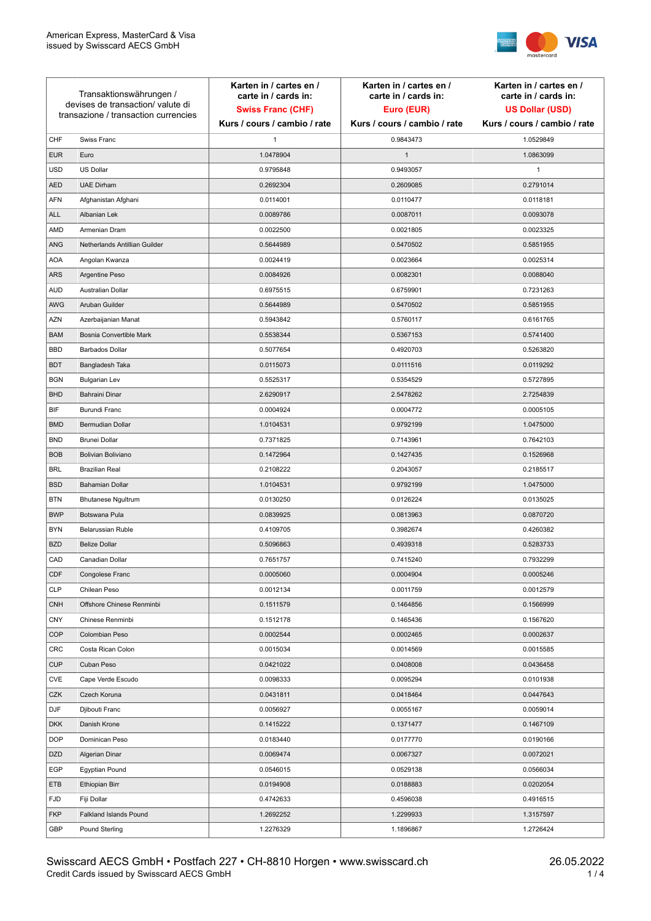

| Transaktionswährungen /<br>devises de transaction/valute di<br>transazione / transaction currencies |                               | Karten in / cartes en /<br>carte in / cards in:<br><b>Swiss Franc (CHF)</b> | Karten in / cartes en /<br>carte in / cards in:<br>Euro (EUR) | Karten in / cartes en /<br>carte in / cards in:<br><b>US Dollar (USD)</b> |
|-----------------------------------------------------------------------------------------------------|-------------------------------|-----------------------------------------------------------------------------|---------------------------------------------------------------|---------------------------------------------------------------------------|
|                                                                                                     |                               | Kurs / cours / cambio / rate                                                | Kurs / cours / cambio / rate                                  | Kurs / cours / cambio / rate                                              |
| CHF                                                                                                 | Swiss Franc                   | 1                                                                           | 0.9843473                                                     | 1.0529849                                                                 |
| <b>EUR</b>                                                                                          | Euro                          | 1.0478904                                                                   | $\mathbf{1}$                                                  | 1.0863099                                                                 |
| <b>USD</b>                                                                                          | <b>US Dollar</b>              | 0.9795848                                                                   | 0.9493057                                                     | 1                                                                         |
| <b>AED</b>                                                                                          | <b>UAE Dirham</b>             | 0.2692304                                                                   | 0.2609085                                                     | 0.2791014                                                                 |
| AFN                                                                                                 | Afghanistan Afghani           | 0.0114001                                                                   | 0.0110477                                                     | 0.0118181                                                                 |
| <b>ALL</b>                                                                                          | Albanian Lek                  | 0.0089786                                                                   | 0.0087011                                                     | 0.0093078                                                                 |
| AMD                                                                                                 | Armenian Dram                 | 0.0022500                                                                   | 0.0021805                                                     | 0.0023325                                                                 |
| <b>ANG</b>                                                                                          | Netherlands Antillian Guilder | 0.5644989                                                                   | 0.5470502                                                     | 0.5851955                                                                 |
| <b>AOA</b>                                                                                          | Angolan Kwanza                | 0.0024419                                                                   | 0.0023664                                                     | 0.0025314                                                                 |
| <b>ARS</b>                                                                                          | Argentine Peso                | 0.0084926                                                                   | 0.0082301                                                     | 0.0088040                                                                 |
| <b>AUD</b>                                                                                          | Australian Dollar             | 0.6975515                                                                   | 0.6759901                                                     | 0.7231263                                                                 |
| AWG                                                                                                 | Aruban Guilder                | 0.5644989                                                                   | 0.5470502                                                     | 0.5851955                                                                 |
| <b>AZN</b>                                                                                          | Azerbaijanian Manat           | 0.5943842                                                                   | 0.5760117                                                     | 0.6161765                                                                 |
| <b>BAM</b>                                                                                          | Bosnia Convertible Mark       | 0.5538344                                                                   | 0.5367153                                                     | 0.5741400                                                                 |
| <b>BBD</b>                                                                                          | <b>Barbados Dollar</b>        | 0.5077654                                                                   | 0.4920703                                                     | 0.5263820                                                                 |
| <b>BDT</b>                                                                                          | Bangladesh Taka               | 0.0115073                                                                   | 0.0111516                                                     | 0.0119292                                                                 |
| <b>BGN</b>                                                                                          | <b>Bulgarian Lev</b>          | 0.5525317                                                                   | 0.5354529                                                     | 0.5727895                                                                 |
| <b>BHD</b>                                                                                          | <b>Bahraini Dinar</b>         | 2.6290917                                                                   | 2.5478262                                                     | 2.7254839                                                                 |
| <b>BIF</b>                                                                                          | Burundi Franc                 | 0.0004924                                                                   | 0.0004772                                                     | 0.0005105                                                                 |
| <b>BMD</b>                                                                                          | Bermudian Dollar              | 1.0104531                                                                   | 0.9792199                                                     | 1.0475000                                                                 |
| <b>BND</b>                                                                                          | <b>Brunei Dollar</b>          | 0.7371825                                                                   | 0.7143961                                                     | 0.7642103                                                                 |
| <b>BOB</b>                                                                                          | Bolivian Boliviano            | 0.1472964                                                                   | 0.1427435                                                     | 0.1526968                                                                 |
| <b>BRL</b>                                                                                          | <b>Brazilian Real</b>         | 0.2108222                                                                   | 0.2043057                                                     | 0.2185517                                                                 |
| <b>BSD</b>                                                                                          | <b>Bahamian Dollar</b>        | 1.0104531                                                                   | 0.9792199                                                     | 1.0475000                                                                 |
| <b>BTN</b>                                                                                          | <b>Bhutanese Ngultrum</b>     | 0.0130250                                                                   | 0.0126224                                                     | 0.0135025                                                                 |
| <b>BWP</b>                                                                                          | Botswana Pula                 | 0.0839925                                                                   | 0.0813963                                                     | 0.0870720                                                                 |
| <b>BYN</b>                                                                                          | Belarussian Ruble             | 0.4109705                                                                   | 0.3982674                                                     | 0.4260382                                                                 |
| <b>BZD</b>                                                                                          | <b>Belize Dollar</b>          | 0.5096863                                                                   | 0.4939318                                                     | 0.5283733                                                                 |
| CAD                                                                                                 | Canadian Dollar               | 0.7651757                                                                   | 0.7415240                                                     | 0.7932299                                                                 |
| <b>CDF</b>                                                                                          | Congolese Franc               | 0.0005060                                                                   | 0.0004904                                                     | 0.0005246                                                                 |
| <b>CLP</b>                                                                                          | Chilean Peso                  | 0.0012134                                                                   | 0.0011759                                                     | 0.0012579                                                                 |
| <b>CNH</b>                                                                                          | Offshore Chinese Renminbi     | 0.1511579                                                                   | 0.1464856                                                     | 0.1566999                                                                 |
| <b>CNY</b>                                                                                          | Chinese Renminbi              | 0.1512178                                                                   | 0.1465436                                                     | 0.1567620                                                                 |
| <b>COP</b>                                                                                          | Colombian Peso                | 0.0002544                                                                   | 0.0002465                                                     | 0.0002637                                                                 |
| <b>CRC</b>                                                                                          | Costa Rican Colon             | 0.0015034                                                                   | 0.0014569                                                     | 0.0015585                                                                 |
| <b>CUP</b>                                                                                          | Cuban Peso                    | 0.0421022                                                                   | 0.0408008                                                     | 0.0436458                                                                 |
| CVE                                                                                                 | Cape Verde Escudo             | 0.0098333                                                                   | 0.0095294                                                     | 0.0101938                                                                 |
| CZK                                                                                                 | Czech Koruna                  | 0.0431811                                                                   | 0.0418464                                                     | 0.0447643                                                                 |
| <b>DJF</b>                                                                                          | Djibouti Franc                | 0.0056927                                                                   | 0.0055167                                                     | 0.0059014                                                                 |
| <b>DKK</b>                                                                                          | Danish Krone                  | 0.1415222                                                                   | 0.1371477                                                     | 0.1467109                                                                 |
| <b>DOP</b>                                                                                          | Dominican Peso                | 0.0183440                                                                   | 0.0177770                                                     | 0.0190166                                                                 |
| <b>DZD</b>                                                                                          | Algerian Dinar                | 0.0069474                                                                   | 0.0067327                                                     | 0.0072021                                                                 |
| EGP                                                                                                 | Egyptian Pound                | 0.0546015                                                                   | 0.0529138                                                     | 0.0566034                                                                 |
| ETB                                                                                                 | Ethiopian Birr                | 0.0194908                                                                   | 0.0188883                                                     | 0.0202054                                                                 |
| <b>FJD</b>                                                                                          | Fiji Dollar                   | 0.4742633                                                                   | 0.4596038                                                     | 0.4916515                                                                 |
| <b>FKP</b>                                                                                          | Falkland Islands Pound        | 1.2692252                                                                   | 1.2299933                                                     | 1.3157597                                                                 |
| GBP                                                                                                 | Pound Sterling                | 1.2276329                                                                   | 1.1896867                                                     | 1.2726424                                                                 |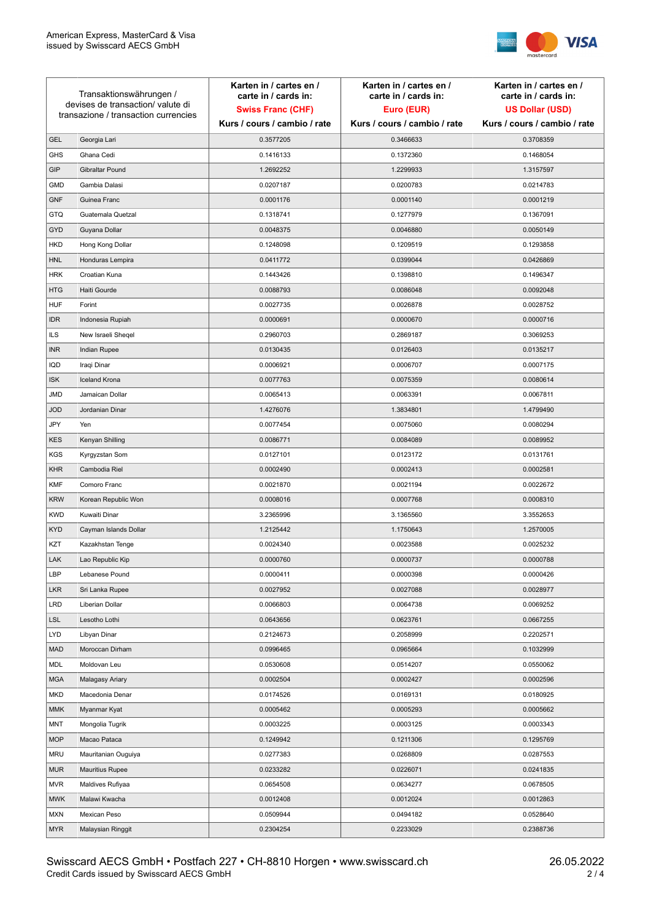

| Transaktionswährungen /<br>devises de transaction/ valute di<br>transazione / transaction currencies |                        | Karten in / cartes en /<br>carte in / cards in: | Karten in / cartes en /<br>carte in / cards in: | Karten in / cartes en /<br>carte in / cards in: |
|------------------------------------------------------------------------------------------------------|------------------------|-------------------------------------------------|-------------------------------------------------|-------------------------------------------------|
|                                                                                                      |                        | <b>Swiss Franc (CHF)</b>                        | Euro (EUR)                                      | <b>US Dollar (USD)</b>                          |
|                                                                                                      |                        | Kurs / cours / cambio / rate                    | Kurs / cours / cambio / rate                    | Kurs / cours / cambio / rate                    |
| <b>GEL</b>                                                                                           | Georgia Lari           | 0.3577205                                       | 0.3466633                                       | 0.3708359                                       |
| <b>GHS</b>                                                                                           | Ghana Cedi             | 0.1416133                                       | 0.1372360                                       | 0.1468054                                       |
| GIP                                                                                                  | Gibraltar Pound        | 1.2692252                                       | 1.2299933                                       | 1.3157597                                       |
| <b>GMD</b>                                                                                           | Gambia Dalasi          | 0.0207187                                       | 0.0200783                                       | 0.0214783                                       |
| <b>GNF</b>                                                                                           | Guinea Franc           | 0.0001176                                       | 0.0001140                                       | 0.0001219                                       |
| <b>GTQ</b>                                                                                           | Guatemala Quetzal      | 0.1318741                                       | 0.1277979                                       | 0.1367091                                       |
| GYD                                                                                                  | Guyana Dollar          | 0.0048375                                       | 0.0046880                                       | 0.0050149                                       |
| <b>HKD</b>                                                                                           | Hong Kong Dollar       | 0.1248098                                       | 0.1209519                                       | 0.1293858                                       |
| <b>HNL</b>                                                                                           | Honduras Lempira       | 0.0411772                                       | 0.0399044                                       | 0.0426869                                       |
| <b>HRK</b>                                                                                           | Croatian Kuna          | 0.1443426                                       | 0.1398810                                       | 0.1496347                                       |
| <b>HTG</b>                                                                                           | Haiti Gourde           | 0.0088793                                       | 0.0086048                                       | 0.0092048                                       |
| <b>HUF</b>                                                                                           | Forint                 | 0.0027735                                       | 0.0026878                                       | 0.0028752                                       |
| <b>IDR</b>                                                                                           | Indonesia Rupiah       | 0.0000691                                       | 0.0000670                                       | 0.0000716                                       |
| <b>ILS</b>                                                                                           | New Israeli Sheqel     | 0.2960703                                       | 0.2869187                                       | 0.3069253                                       |
| <b>INR</b>                                                                                           | Indian Rupee           | 0.0130435                                       | 0.0126403                                       | 0.0135217                                       |
| IQD                                                                                                  | Iraqi Dinar            | 0.0006921                                       | 0.0006707                                       | 0.0007175                                       |
| <b>ISK</b>                                                                                           | <b>Iceland Krona</b>   | 0.0077763                                       | 0.0075359                                       | 0.0080614                                       |
| JMD                                                                                                  | Jamaican Dollar        | 0.0065413                                       | 0.0063391                                       | 0.0067811                                       |
| <b>JOD</b>                                                                                           | Jordanian Dinar        | 1.4276076                                       | 1.3834801                                       | 1.4799490                                       |
| JPY                                                                                                  | Yen                    | 0.0077454                                       | 0.0075060                                       | 0.0080294                                       |
| <b>KES</b>                                                                                           | Kenyan Shilling        | 0.0086771                                       | 0.0084089                                       | 0.0089952                                       |
| KGS                                                                                                  | Kyrgyzstan Som         | 0.0127101                                       | 0.0123172                                       | 0.0131761                                       |
| <b>KHR</b>                                                                                           | Cambodia Riel          | 0.0002490                                       | 0.0002413                                       | 0.0002581                                       |
| KMF                                                                                                  | Comoro Franc           | 0.0021870                                       | 0.0021194                                       | 0.0022672                                       |
| <b>KRW</b>                                                                                           | Korean Republic Won    | 0.0008016                                       | 0.0007768                                       | 0.0008310                                       |
| <b>KWD</b>                                                                                           | Kuwaiti Dinar          | 3.2365996                                       | 3.1365560                                       | 3.3552653                                       |
| <b>KYD</b>                                                                                           | Cayman Islands Dollar  | 1.2125442                                       | 1.1750643                                       | 1.2570005                                       |
| KZT                                                                                                  | Kazakhstan Tenge       | 0.0024340                                       | 0.0023588                                       | 0.0025232                                       |
| LAK                                                                                                  | Lao Republic Kip       | 0.0000760                                       | 0.0000737                                       | 0.0000788                                       |
| LBP                                                                                                  | Lebanese Pound         | 0.0000411                                       | 0.0000398                                       | 0.0000426                                       |
| <b>LKR</b>                                                                                           | Sri Lanka Rupee        | 0.0027952                                       | 0.0027088                                       | 0.0028977                                       |
| <b>LRD</b>                                                                                           | Liberian Dollar        | 0.0066803                                       | 0.0064738                                       | 0.0069252                                       |
| <b>LSL</b>                                                                                           | Lesotho Lothi          | 0.0643656                                       | 0.0623761                                       | 0.0667255                                       |
| LYD                                                                                                  | Libyan Dinar           | 0.2124673                                       | 0.2058999                                       | 0.2202571                                       |
| <b>MAD</b>                                                                                           | Moroccan Dirham        | 0.0996465                                       | 0.0965664                                       | 0.1032999                                       |
| MDL                                                                                                  | Moldovan Leu           | 0.0530608                                       | 0.0514207                                       | 0.0550062                                       |
| <b>MGA</b>                                                                                           | Malagasy Ariary        | 0.0002504                                       | 0.0002427                                       | 0.0002596                                       |
| MKD                                                                                                  | Macedonia Denar        | 0.0174526                                       | 0.0169131                                       | 0.0180925                                       |
| MMK                                                                                                  | Myanmar Kyat           | 0.0005462                                       | 0.0005293                                       | 0.0005662                                       |
| <b>MNT</b>                                                                                           | Mongolia Tugrik        | 0.0003225                                       | 0.0003125                                       | 0.0003343                                       |
| <b>MOP</b>                                                                                           | Macao Pataca           | 0.1249942                                       | 0.1211306                                       | 0.1295769                                       |
| <b>MRU</b>                                                                                           | Mauritanian Ouguiya    | 0.0277383                                       | 0.0268809                                       | 0.0287553                                       |
| <b>MUR</b>                                                                                           | <b>Mauritius Rupee</b> | 0.0233282                                       | 0.0226071                                       | 0.0241835                                       |
| <b>MVR</b>                                                                                           | Maldives Rufiyaa       | 0.0654508                                       | 0.0634277                                       | 0.0678505                                       |
| <b>MWK</b>                                                                                           | Malawi Kwacha          | 0.0012408                                       | 0.0012024                                       | 0.0012863                                       |
| MXN                                                                                                  | Mexican Peso           | 0.0509944                                       | 0.0494182                                       | 0.0528640                                       |
| <b>MYR</b>                                                                                           | Malaysian Ringgit      | 0.2304254                                       | 0.2233029                                       | 0.2388736                                       |
|                                                                                                      |                        |                                                 |                                                 |                                                 |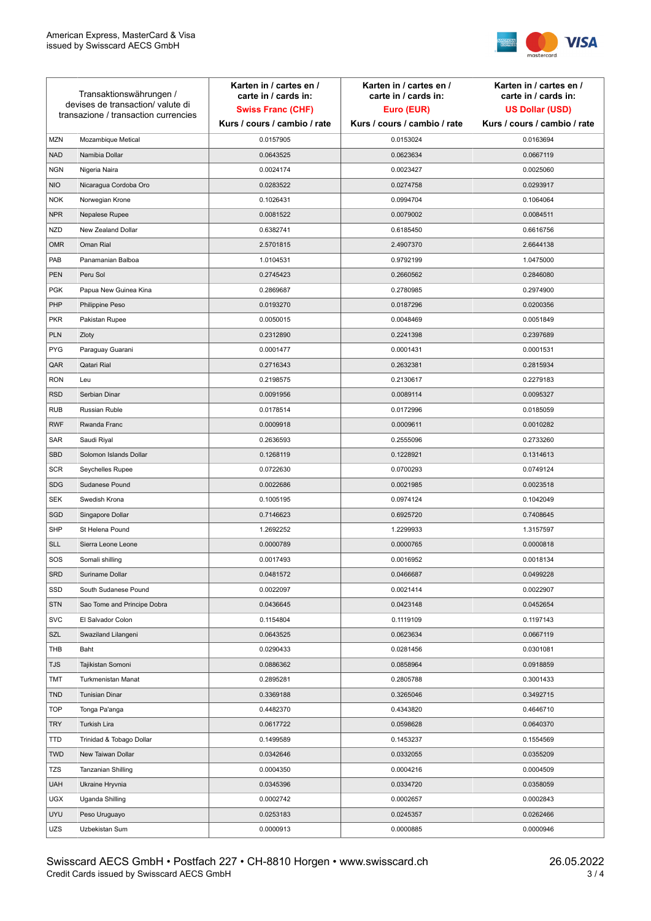

| Transaktionswährungen /<br>devises de transaction/valute di<br>transazione / transaction currencies |                             | Karten in / cartes en /<br>carte in / cards in:<br><b>Swiss Franc (CHF)</b> | Karten in / cartes en /<br>carte in / cards in:<br>Euro (EUR) | Karten in / cartes en /<br>carte in / cards in:<br><b>US Dollar (USD)</b> |
|-----------------------------------------------------------------------------------------------------|-----------------------------|-----------------------------------------------------------------------------|---------------------------------------------------------------|---------------------------------------------------------------------------|
|                                                                                                     |                             | Kurs / cours / cambio / rate                                                | Kurs / cours / cambio / rate                                  | Kurs / cours / cambio / rate                                              |
| <b>MZN</b>                                                                                          | Mozambique Metical          | 0.0157905                                                                   | 0.0153024                                                     | 0.0163694                                                                 |
| <b>NAD</b>                                                                                          | Namibia Dollar              | 0.0643525                                                                   | 0.0623634                                                     | 0.0667119                                                                 |
| <b>NGN</b>                                                                                          | Nigeria Naira               | 0.0024174                                                                   | 0.0023427                                                     | 0.0025060                                                                 |
| <b>NIO</b>                                                                                          | Nicaragua Cordoba Oro       | 0.0283522                                                                   | 0.0274758                                                     | 0.0293917                                                                 |
| <b>NOK</b>                                                                                          | Norwegian Krone             | 0.1026431                                                                   | 0.0994704                                                     | 0.1064064                                                                 |
| <b>NPR</b>                                                                                          | Nepalese Rupee              | 0.0081522                                                                   | 0.0079002                                                     | 0.0084511                                                                 |
| <b>NZD</b>                                                                                          | New Zealand Dollar          | 0.6382741                                                                   | 0.6185450                                                     | 0.6616756                                                                 |
| <b>OMR</b>                                                                                          | Oman Rial                   | 2.5701815                                                                   | 2.4907370                                                     | 2.6644138                                                                 |
| PAB                                                                                                 | Panamanian Balboa           | 1.0104531                                                                   | 0.9792199                                                     | 1.0475000                                                                 |
| PEN                                                                                                 | Peru Sol                    | 0.2745423                                                                   | 0.2660562                                                     | 0.2846080                                                                 |
| <b>PGK</b>                                                                                          | Papua New Guinea Kina       | 0.2869687                                                                   | 0.2780985                                                     | 0.2974900                                                                 |
| PHP                                                                                                 | Philippine Peso             | 0.0193270                                                                   | 0.0187296                                                     | 0.0200356                                                                 |
| <b>PKR</b>                                                                                          | Pakistan Rupee              | 0.0050015                                                                   | 0.0048469                                                     | 0.0051849                                                                 |
| <b>PLN</b>                                                                                          | Zloty                       | 0.2312890                                                                   | 0.2241398                                                     | 0.2397689                                                                 |
| <b>PYG</b>                                                                                          | Paraguay Guarani            | 0.0001477                                                                   | 0.0001431                                                     | 0.0001531                                                                 |
| QAR                                                                                                 | Qatari Rial                 | 0.2716343                                                                   | 0.2632381                                                     | 0.2815934                                                                 |
| <b>RON</b>                                                                                          | Leu                         | 0.2198575                                                                   | 0.2130617                                                     | 0.2279183                                                                 |
| <b>RSD</b>                                                                                          | Serbian Dinar               | 0.0091956                                                                   | 0.0089114                                                     | 0.0095327                                                                 |
| <b>RUB</b>                                                                                          | <b>Russian Ruble</b>        | 0.0178514                                                                   | 0.0172996                                                     | 0.0185059                                                                 |
| <b>RWF</b>                                                                                          | Rwanda Franc                | 0.0009918                                                                   | 0.0009611                                                     | 0.0010282                                                                 |
| SAR                                                                                                 | Saudi Riyal                 | 0.2636593                                                                   | 0.2555096                                                     | 0.2733260                                                                 |
| <b>SBD</b>                                                                                          | Solomon Islands Dollar      | 0.1268119                                                                   | 0.1228921                                                     | 0.1314613                                                                 |
| <b>SCR</b>                                                                                          | Seychelles Rupee            | 0.0722630                                                                   | 0.0700293                                                     | 0.0749124                                                                 |
| <b>SDG</b>                                                                                          | Sudanese Pound              | 0.0022686                                                                   | 0.0021985                                                     | 0.0023518                                                                 |
| <b>SEK</b>                                                                                          | Swedish Krona               | 0.1005195                                                                   | 0.0974124                                                     | 0.1042049                                                                 |
| SGD                                                                                                 | Singapore Dollar            | 0.7146623                                                                   | 0.6925720                                                     | 0.7408645                                                                 |
| <b>SHP</b>                                                                                          | St Helena Pound             | 1.2692252                                                                   | 1.2299933                                                     | 1.3157597                                                                 |
| <b>SLL</b>                                                                                          | Sierra Leone Leone          | 0.0000789                                                                   | 0.0000765                                                     | 0.0000818                                                                 |
| SOS                                                                                                 | Somali shilling             | 0.0017493                                                                   | 0.0016952                                                     | 0.0018134                                                                 |
| <b>SRD</b>                                                                                          | Suriname Dollar             | 0.0481572                                                                   | 0.0466687                                                     | 0.0499228                                                                 |
| SSD                                                                                                 | South Sudanese Pound        | 0.0022097                                                                   | 0.0021414                                                     | 0.0022907                                                                 |
| <b>STN</b>                                                                                          | Sao Tome and Principe Dobra | 0.0436645                                                                   | 0.0423148                                                     | 0.0452654                                                                 |
| <b>SVC</b>                                                                                          | El Salvador Colon           | 0.1154804                                                                   | 0.1119109                                                     | 0.1197143                                                                 |
| SZL                                                                                                 | Swaziland Lilangeni         | 0.0643525                                                                   | 0.0623634                                                     | 0.0667119                                                                 |
| THB                                                                                                 | Baht                        | 0.0290433                                                                   | 0.0281456                                                     | 0.0301081                                                                 |
| <b>TJS</b>                                                                                          | Tajikistan Somoni           | 0.0886362                                                                   | 0.0858964                                                     | 0.0918859                                                                 |
| TMT                                                                                                 | Turkmenistan Manat          | 0.2895281                                                                   | 0.2805788                                                     | 0.3001433                                                                 |
| <b>TND</b>                                                                                          | <b>Tunisian Dinar</b>       | 0.3369188                                                                   | 0.3265046                                                     | 0.3492715                                                                 |
| <b>TOP</b>                                                                                          | Tonga Pa'anga               | 0.4482370                                                                   | 0.4343820                                                     | 0.4646710                                                                 |
| <b>TRY</b>                                                                                          | Turkish Lira                | 0.0617722                                                                   | 0.0598628                                                     | 0.0640370                                                                 |
| TTD                                                                                                 | Trinidad & Tobago Dollar    | 0.1499589                                                                   | 0.1453237                                                     | 0.1554569                                                                 |
| <b>TWD</b>                                                                                          | New Taiwan Dollar           | 0.0342646                                                                   | 0.0332055                                                     | 0.0355209                                                                 |
| TZS                                                                                                 | Tanzanian Shilling          | 0.0004350                                                                   | 0.0004216                                                     | 0.0004509                                                                 |
| <b>UAH</b>                                                                                          | Ukraine Hryvnia             | 0.0345396                                                                   | 0.0334720                                                     | 0.0358059                                                                 |
| <b>UGX</b>                                                                                          | Uganda Shilling             | 0.0002742                                                                   | 0.0002657                                                     | 0.0002843                                                                 |
| <b>UYU</b>                                                                                          | Peso Uruguayo               | 0.0253183                                                                   | 0.0245357                                                     | 0.0262466                                                                 |
| UZS                                                                                                 | Uzbekistan Sum              | 0.0000913                                                                   | 0.0000885                                                     | 0.0000946                                                                 |